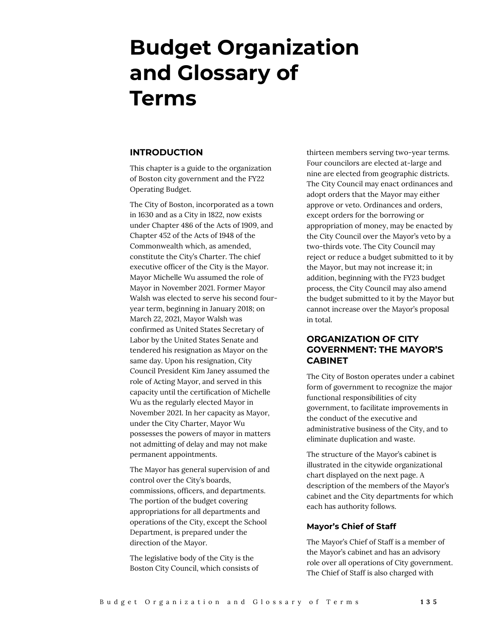# **Budget Organization and Glossary of Terms**

#### **INTRODUCTION**

This chapter is a guide to the organization of Boston city government and the FY22 Operating Budget.

The City of Boston, incorporated as a town in 1630 and as a City in 1822, now exists under Chapter 486 of the Acts of 1909, and Chapter 452 of the Acts of 1948 of the Commonwealth which, as amended, constitute the City's Charter. The chief executive officer of the City is the Mayor. Mayor Michelle Wu assumed the role of Mayor in November 2021. Former Mayor Walsh was elected to serve his second fouryear term, beginning in January 2018; on March 22, 2021, Mayor Walsh was confirmed as United States Secretary of Labor by the United States Senate and tendered his resignation as Mayor on the same day. Upon his resignation, City Council President Kim Janey assumed the role of Acting Mayor, and served in this capacity until the certification of Michelle Wu as the regularly elected Mayor in November 2021. In her capacity as Mayor, under the City Charter, Mayor Wu possesses the powers of mayor in matters not admitting of delay and may not make permanent appointments.

The Mayor has general supervision of and control over the City's boards, commissions, officers, and departments. The portion of the budget covering appropriations for all departments and operations of the City, except the School Department, is prepared under the direction of the Mayor.

The legislative body of the City is the Boston City Council, which consists of

thirteen members serving two-year terms. Four councilors are elected at-large and nine are elected from geographic districts. The City Council may enact ordinances and adopt orders that the Mayor may either approve or veto. Ordinances and orders, except orders for the borrowing or appropriation of money, may be enacted by the City Council over the Mayor's veto by a two-thirds vote. The City Council may reject or reduce a budget submitted to it by the Mayor, but may not increase it; in addition, beginning with the FY23 budget process, the City Council may also amend the budget submitted to it by the Mayor but cannot increase over the Mayor's proposal in total.

# **ORGANIZATION OF CITY GOVERNMENT: THE MAYOR'S CABINET**

The City of Boston operates under a cabinet form of government to recognize the major functional responsibilities of city government, to facilitate improvements in the conduct of the executive and administrative business of the City, and to eliminate duplication and waste.

The structure of the Mayor's cabinet is illustrated in the citywide organizational chart displayed on the next page. A description of the members of the Mayor's cabinet and the City departments for which each has authority follows.

#### **Mayor's Chief of Staff**

The Mayor's Chief of Staff is a member of the Mayor's cabinet and has an advisory role over all operations of City government. The Chief of Staff is also charged with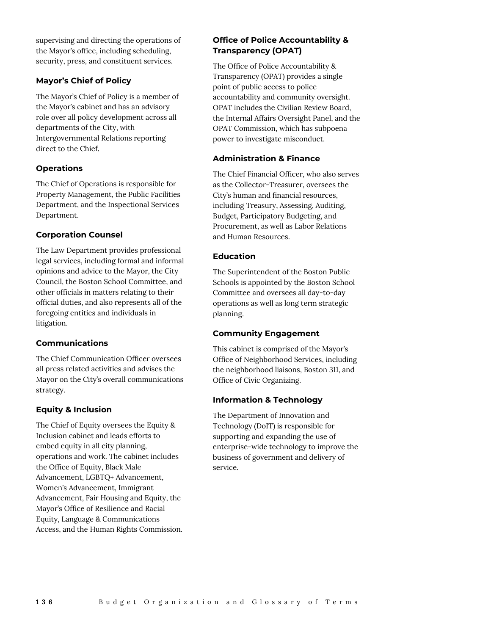supervising and directing the operations of the Mayor's office, including scheduling, security, press, and constituent services.

#### **Mayor's Chief of Policy**

The Mayor's Chief of Policy is a member of the Mayor's cabinet and has an advisory role over all policy development across all departments of the City, with Intergovernmental Relations reporting direct to the Chief.

#### **Operations**

The Chief of Operations is responsible for Property Management, the Public Facilities Department, and the Inspectional Services Department.

#### **Corporation Counsel**

The Law Department provides professional legal services, including formal and informal opinions and advice to the Mayor, the City Council, the Boston School Committee, and other officials in matters relating to their official duties, and also represents all of the foregoing entities and individuals in litigation.

## **Communications**

The Chief Communication Officer oversees all press related activities and advises the Mayor on the City's overall communications strategy.

## **Equity & Inclusion**

The Chief of Equity oversees the Equity & Inclusion cabinet and leads efforts to embed equity in all city planning, operations and work. The cabinet includes the Office of Equity, Black Male Advancement, LGBTQ+ Advancement, Women's Advancement, Immigrant Advancement, Fair Housing and Equity, the Mayor's Office of Resilience and Racial Equity, Language & Communications Access, and the Human Rights Commission.

# **Office of Police Accountability & Transparency (OPAT)**

The Office of Police Accountability & Transparency (OPAT) provides a single point of public access to police accountability and community oversight. OPAT includes the Civilian Review Board, the Internal Affairs Oversight Panel, and the OPAT Commission, which has subpoena power to investigate misconduct.

## **Administration & Finance**

The Chief Financial Officer, who also serves as the Collector-Treasurer, oversees the City's human and financial resources, including Treasury, Assessing, Auditing, Budget, Participatory Budgeting, and Procurement, as well as Labor Relations and Human Resources.

# **Education**

The Superintendent of the Boston Public Schools is appointed by the Boston School Committee and oversees all day-to-day operations as well as long term strategic planning.

# **Community Engagement**

This cabinet is comprised of the Mayor's Office of Neighborhood Services, including the neighborhood liaisons, Boston 311, and Office of Civic Organizing.

## **Information & Technology**

The Department of Innovation and Technology (DoIT) is responsible for supporting and expanding the use of enterprise-wide technology to improve the business of government and delivery of service.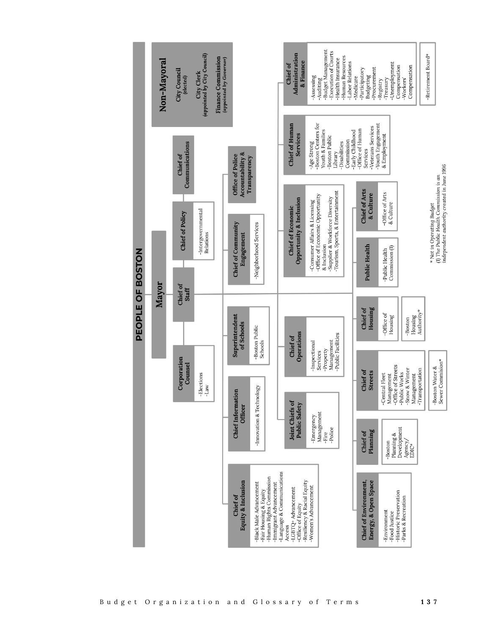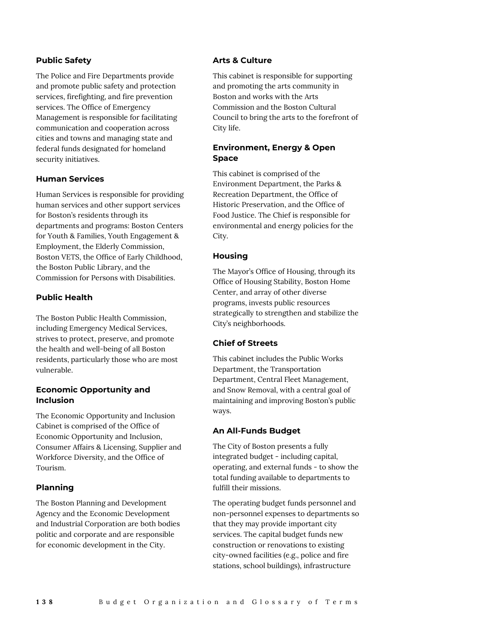#### **Public Safety**

The Police and Fire Departments provide and promote public safety and protection services, firefighting, and fire prevention services. The Office of Emergency Management is responsible for facilitating communication and cooperation across cities and towns and managing state and federal funds designated for homeland security initiatives.

#### **Human Services**

Human Services is responsible for providing human services and other support services for Boston's residents through its departments and programs: Boston Centers for Youth & Families, Youth Engagement & Employment, the Elderly Commission, Boston VETS, the Office of Early Childhood, the Boston Public Library, and the Commission for Persons with Disabilities.

#### **Public Health**

The Boston Public Health Commission, including Emergency Medical Services, strives to protect, preserve, and promote the health and well-being of all Boston residents, particularly those who are most vulnerable.

#### **Economic Opportunity and Inclusion**

The Economic Opportunity and Inclusion Cabinet is comprised of the Office of Economic Opportunity and Inclusion, Consumer Affairs & Licensing, Supplier and Workforce Diversity, and the Office of Tourism.

## **Planning**

The Boston Planning and Development Agency and the Economic Development and Industrial Corporation are both bodies politic and corporate and are responsible for economic development in the City.

#### **Arts & Culture**

This cabinet is responsible for supporting and promoting the arts community in Boston and works with the Arts Commission and the Boston Cultural Council to bring the arts to the forefront of City life.

# **Environment, Energy & Open Space**

This cabinet is comprised of the Environment Department, the Parks & Recreation Department, the Office of Historic Preservation, and the Office of Food Justice. The Chief is responsible for environmental and energy policies for the City.

## **Housing**

The Mayor's Office of Housing, through its Office of Housing Stability, Boston Home Center, and array of other diverse programs, invests public resources strategically to strengthen and stabilize the City's neighborhoods.

#### **Chief of Streets**

This cabinet includes the Public Works Department, the Transportation Department, Central Fleet Management, and Snow Removal, with a central goal of maintaining and improving Boston's public ways.

#### **An All-Funds Budget**

The City of Boston presents a fully integrated budget - including capital, operating, and external funds - to show the total funding available to departments to fulfill their missions.

The operating budget funds personnel and non-personnel expenses to departments so that they may provide important city services. The capital budget funds new construction or renovations to existing city-owned facilities (e.g., police and fire stations, school buildings), infrastructure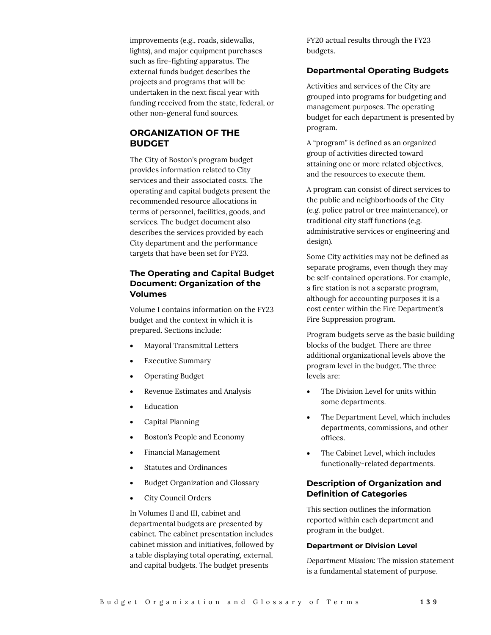improvements (e.g., roads, sidewalks, lights), and major equipment purchases such as fire-fighting apparatus. The external funds budget describes the projects and programs that will be undertaken in the next fiscal year with funding received from the state, federal, or other non-general fund sources.

# **ORGANIZATION OF THE BUDGET**

The City of Boston's program budget provides information related to City services and their associated costs. The operating and capital budgets present the recommended resource allocations in terms of personnel, facilities, goods, and services. The budget document also describes the services provided by each City department and the performance targets that have been set for FY23.

# **The Operating and Capital Budget Document: Organization of the Volumes**

Volume I contains information on the FY23 budget and the context in which it is prepared. Sections include:

- Mayoral Transmittal Letters
- **Executive Summary**
- Operating Budget
- Revenue Estimates and Analysis
- **Education**
- Capital Planning
- Boston's People and Economy
- Financial Management
- Statutes and Ordinances
- Budget Organization and Glossary
- City Council Orders

In Volumes II and III, cabinet and departmental budgets are presented by cabinet. The cabinet presentation includes cabinet mission and initiatives, followed by a table displaying total operating, external, and capital budgets. The budget presents

FY20 actual results through the FY23 budgets.

#### **Departmental Operating Budgets**

Activities and services of the City are grouped into programs for budgeting and management purposes. The operating budget for each department is presented by program.

A "program" is defined as an organized group of activities directed toward attaining one or more related objectives, and the resources to execute them.

A program can consist of direct services to the public and neighborhoods of the City (e.g. police patrol or tree maintenance), or traditional city staff functions (e.g. administrative services or engineering and design).

Some City activities may not be defined as separate programs, even though they may be self-contained operations. For example, a fire station is not a separate program, although for accounting purposes it is a cost center within the Fire Department's Fire Suppression program.

Program budgets serve as the basic building blocks of the budget. There are three additional organizational levels above the program level in the budget. The three levels are:

- The Division Level for units within some departments.
- The Department Level, which includes departments, commissions, and other offices.
- The Cabinet Level, which includes functionally-related departments.

## **Description of Organization and Definition of Categories**

This section outlines the information reported within each department and program in the budget.

#### **Department or Division Level**

*Department Mission:* The mission statement is a fundamental statement of purpose.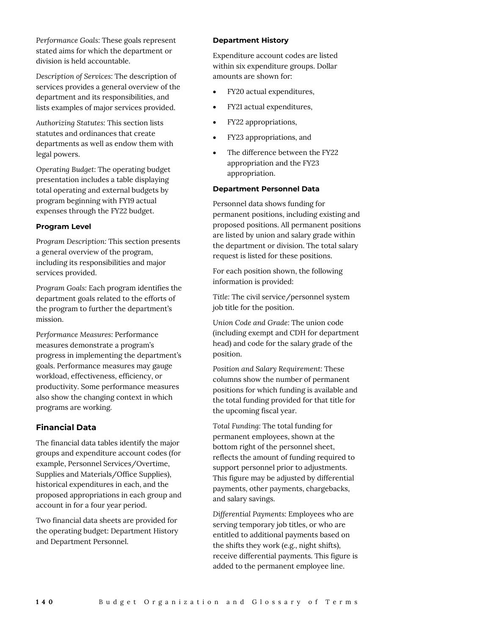*Performance Goals:* These goals represent stated aims for which the department or division is held accountable.

*Description of Services:* The description of services provides a general overview of the department and its responsibilities, and lists examples of major services provided.

*Authorizing Statutes:* This section lists statutes and ordinances that create departments as well as endow them with legal powers.

*Operating Budget:* The operating budget presentation includes a table displaying total operating and external budgets by program beginning with FY19 actual expenses through the FY22 budget.

#### **Program Level**

*Program Description:* This section presents a general overview of the program, including its responsibilities and major services provided.

*Program Goals:* Each program identifies the department goals related to the efforts of the program to further the department's mission.

*Performance Measures:* Performance measures demonstrate a program's progress in implementing the department's goals. Performance measures may gauge workload, effectiveness, efficiency, or productivity. Some performance measures also show the changing context in which programs are working.

#### **Financial Data**

The financial data tables identify the major groups and expenditure account codes (for example, Personnel Services/Overtime, Supplies and Materials/Office Supplies), historical expenditures in each, and the proposed appropriations in each group and account in for a four year period.

Two financial data sheets are provided for the operating budget: Department History and Department Personnel.

#### **Department History**

Expenditure account codes are listed within six expenditure groups. Dollar amounts are shown for:

- FY20 actual expenditures,
- FY21 actual expenditures,
- FY22 appropriations,
- FY23 appropriations, and
- The difference between the FY22 appropriation and the FY23 appropriation.

#### **Department Personnel Data**

Personnel data shows funding for permanent positions, including existing and proposed positions. All permanent positions are listed by union and salary grade within the department or division. The total salary request is listed for these positions.

For each position shown, the following information is provided:

*Title:* The civil service/personnel system job title for the position.

*Union Code and Grade:* The union code (including exempt and CDH for department head) and code for the salary grade of the position.

*Position and Salary Requirement:* These columns show the number of permanent positions for which funding is available and the total funding provided for that title for the upcoming fiscal year.

*Total Funding:* The total funding for permanent employees, shown at the bottom right of the personnel sheet, reflects the amount of funding required to support personnel prior to adjustments. This figure may be adjusted by differential payments, other payments, chargebacks, and salary savings.

*Differential Payments:* Employees who are serving temporary job titles, or who are entitled to additional payments based on the shifts they work (e.g., night shifts), receive differential payments. This figure is added to the permanent employee line.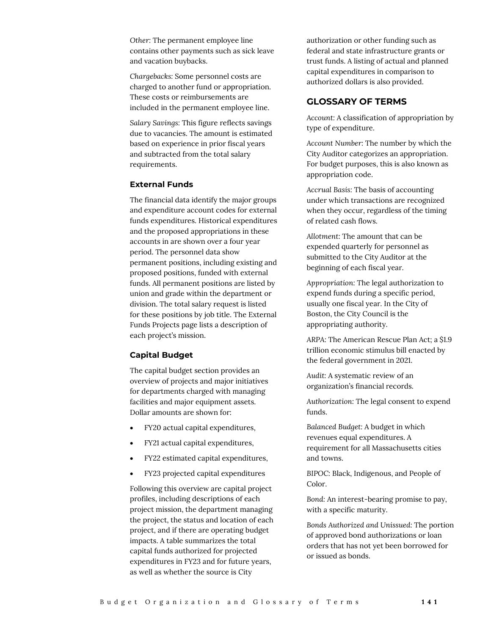*Other:* The permanent employee line contains other payments such as sick leave and vacation buybacks.

*Chargebacks:* Some personnel costs are charged to another fund or appropriation. These costs or reimbursements are included in the permanent employee line.

*Salary Savings:* This figure reflects savings due to vacancies. The amount is estimated based on experience in prior fiscal years and subtracted from the total salary requirements.

#### **External Funds**

The financial data identify the major groups and expenditure account codes for external funds expenditures. Historical expenditures and the proposed appropriations in these accounts in are shown over a four year period. The personnel data show permanent positions, including existing and proposed positions, funded with external funds. All permanent positions are listed by union and grade within the department or division. The total salary request is listed for these positions by job title. The External Funds Projects page lists a description of each project's mission.

#### **Capital Budget**

The capital budget section provides an overview of projects and major initiatives for departments charged with managing facilities and major equipment assets. Dollar amounts are shown for:

- FY20 actual capital expenditures,
- FY21 actual capital expenditures,
- FY22 estimated capital expenditures,
- FY23 projected capital expenditures

Following this overview are capital project profiles, including descriptions of each project mission, the department managing the project, the status and location of each project, and if there are operating budget impacts. A table summarizes the total capital funds authorized for projected expenditures in FY23 and for future years, as well as whether the source is City

authorization or other funding such as federal and state infrastructure grants or trust funds. A listing of actual and planned capital expenditures in comparison to authorized dollars is also provided.

## **GLOSSARY OF TERMS**

*Account:* A classification of appropriation by type of expenditure.

*Account Number:* The number by which the City Auditor categorizes an appropriation. For budget purposes, this is also known as appropriation code.

*Accrual Basis:* The basis of accounting under which transactions are recognized when they occur, regardless of the timing of related cash flows.

*Allotment:* The amount that can be expended quarterly for personnel as submitted to the City Auditor at the beginning of each fiscal year.

*Appropriation:* The legal authorization to expend funds during a specific period, usually one fiscal year. In the City of Boston, the City Council is the appropriating authority.

*ARPA:* The American Rescue Plan Act; a \$1.9 trillion economic stimulus bill enacted by the federal government in 2021.

*Audit:* A systematic review of an organization's financial records.

*Authorization:* The legal consent to expend funds.

*Balanced Budget:* A budget in which revenues equal expenditures. A requirement for all Massachusetts cities and towns.

*BIPOC:* Black, Indigenous, and People of Color.

*Bond:* An interest-bearing promise to pay, with a specific maturity.

*Bonds Authorized and Unissued:* The portion of approved bond authorizations or loan orders that has not yet been borrowed for or issued as bonds.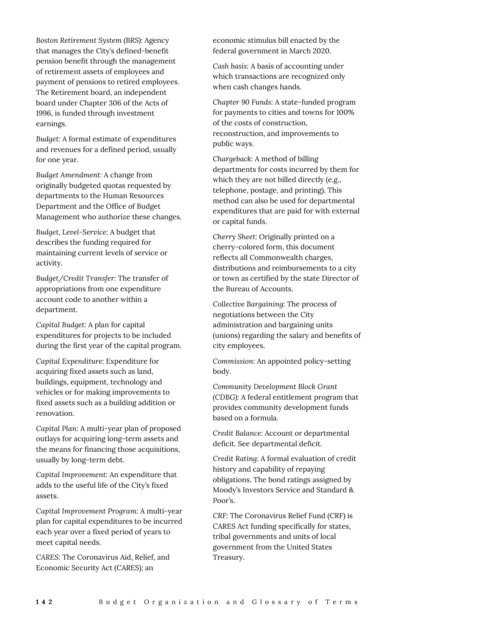*Boston Retirement System (BRS):* Agency that manages the City's defined-benefit pension benefit through the management of retirement assets of employees and payment of pensions to retired employees. The Retirement board, an independent board under Chapter 306 of the Acts of 1996, is funded through investment earnings.

*Budget:* A formal estimate of expenditures and revenues for a defined period, usually for one year.

*Budget Amendment:* A change from originally budgeted quotas requested by departments to the Human Resources Department and the Office of Budget Management who authorize these changes.

*Budget, Level-Service:* A budget that describes the funding required for maintaining current levels of service or activity.

*Budget/Credit Transfer:* The transfer of appropriations from one expenditure account code to another within a department.

*Capital Budget:* A plan for capital expenditures for projects to be included during the first year of the capital program.

*Capital Expenditure:* Expenditure for acquiring fixed assets such as land, buildings, equipment, technology and vehicles or for making improvements to fixed assets such as a building addition or renovation.

*Capital Plan:* A multi-year plan of proposed outlays for acquiring long-term assets and the means for financing those acquisitions, usually by long-term debt.

*Capital Improvement:* An expenditure that adds to the useful life of the City's fixed assets.

*Capital Improvement Program:* A multi-year plan for capital expenditures to be incurred each year over a fixed period of years to meet capital needs.

*CARES:* The Coronavirus Aid, Relief, and Economic Security Act (CARES); an

economic stimulus bill enacted by the federal government in March 2020.

*Cash basis:* A basis of accounting under which transactions are recognized only when cash changes hands.

*Chapter 90 Funds:* A state-funded program for payments to cities and towns for 100% of the costs of construction, reconstruction, and improvements to public ways.

*Chargeback:* A method of billing departments for costs incurred by them for which they are not billed directly (e.g., telephone, postage, and printing). This method can also be used for departmental expenditures that are paid for with external or capital funds.

*Cherry Sheet:* Originally printed on a cherry-colored form, this document reflects all Commonwealth charges, distributions and reimbursements to a city or town as certified by the state Director of the Bureau of Accounts.

*Collective Bargaining:* The process of negotiations between the City administration and bargaining units (unions) regarding the salary and benefits of city employees.

*Commission:* An appointed policy-setting body.

*Community Development Block Grant (CDBG):* A federal entitlement program that provides community development funds based on a formula.

*Credit Balance:* Account or departmental deficit. See departmental deficit.

*Credit Rating:* A formal evaluation of credit history and capability of repaying obligations. The bond ratings assigned by Moody's Investors Service and Standard & Poor's.

*CRF:* The Coronavirus Relief Fund (CRF) is CARES Act funding specifically for states, tribal governments and units of local government from the United States Treasury.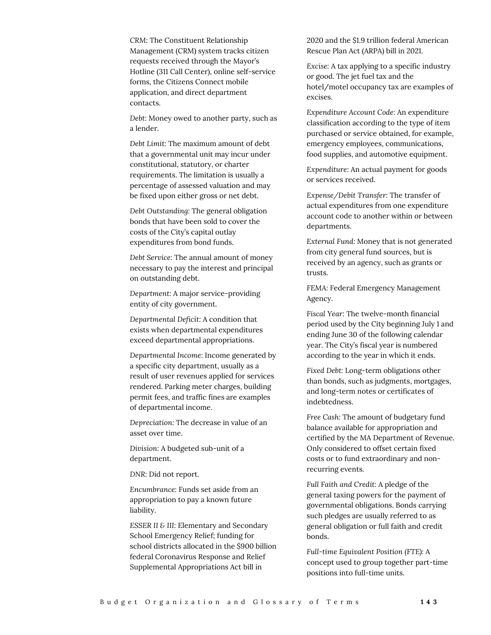*CRM:* The Constituent Relationship Management (CRM) system tracks citizen requests received through the Mayor's Hotline (311 Call Center), online self-service forms, the Citizens Connect mobile application, and direct department contacts.

*Debt:* Money owed to another party, such as a lender.

*Debt Limit:* The maximum amount of debt that a governmental unit may incur under constitutional, statutory, or charter requirements. The limitation is usually a percentage of assessed valuation and may be fixed upon either gross or net debt.

*Debt Outstanding:* The general obligation bonds that have been sold to cover the costs of the City's capital outlay expenditures from bond funds.

*Debt Service:* The annual amount of money necessary to pay the interest and principal on outstanding debt.

*Department:* A major service-providing entity of city government.

*Departmental Deficit:* A condition that exists when departmental expenditures exceed departmental appropriations.

*Departmental Income:* Income generated by a specific city department, usually as a result of user revenues applied for services rendered. Parking meter charges, building permit fees, and traffic fines are examples of departmental income.

*Depreciation:* The decrease in value of an asset over time.

*Division:* A budgeted sub-unit of a department.

*DNR:* Did not report.

*Encumbrance:* Funds set aside from an appropriation to pay a known future liability.

*ESSER II & III:* Elementary and Secondary School Emergency Relief; funding for school districts allocated in the \$900 billion federal Coronavirus Response and Relief Supplemental Appropriations Act bill in

2020 and the \$1.9 trillion federal American Rescue Plan Act (ARPA) bill in 2021.

*Excise:* A tax applying to a specific industry or good. The jet fuel tax and the hotel/motel occupancy tax are examples of excises.

*Expenditure Account Code:* An expenditure classification according to the type of item purchased or service obtained, for example, emergency employees, communications, food supplies, and automotive equipment.

*Expenditure:* An actual payment for goods or services received.

*Expense/Debit Transfer:* The transfer of actual expenditures from one expenditure account code to another within or between departments.

*External Fund:* Money that is not generated from city general fund sources, but is received by an agency, such as grants or trusts.

*FEMA:* Federal Emergency Management Agency.

*Fiscal Year:* The twelve-month financial period used by the City beginning July 1 and ending June 30 of the following calendar year. The City's fiscal year is numbered according to the year in which it ends.

*Fixed Debt:* Long-term obligations other than bonds, such as judgments, mortgages, and long-term notes or certificates of indebtedness.

*Free Cash:* The amount of budgetary fund balance available for appropriation and certified by the MA Department of Revenue. Only considered to offset certain fixed costs or to fund extraordinary and nonrecurring events.

*Full Faith and Credit:* A pledge of the general taxing powers for the payment of governmental obligations. Bonds carrying such pledges are usually referred to as general obligation or full faith and credit bonds.

*Full-time Equivalent Position (FTE):* A concept used to group together part-time positions into full-time units.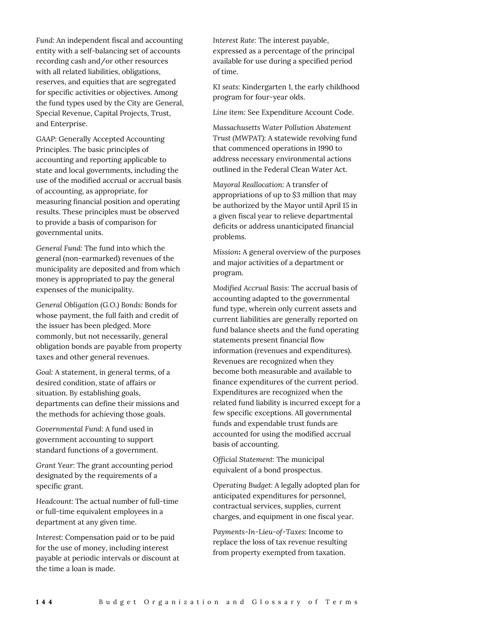*Fund:* An independent fiscal and accounting entity with a self-balancing set of accounts recording cash and/or other resources with all related liabilities, obligations, reserves, and equities that are segregated for specific activities or objectives. Among the fund types used by the City are General, Special Revenue, Capital Projects, Trust, and Enterprise.

*GAAP:* Generally Accepted Accounting Principles. The basic principles of accounting and reporting applicable to state and local governments, including the use of the modified accrual or accrual basis of accounting, as appropriate, for measuring financial position and operating results. These principles must be observed to provide a basis of comparison for governmental units.

*General Fund:* The fund into which the general (non-earmarked) revenues of the municipality are deposited and from which money is appropriated to pay the general expenses of the municipality.

*General Obligation (G.O.) Bonds:* Bonds for whose payment, the full faith and credit of the issuer has been pledged. More commonly, but not necessarily, general obligation bonds are payable from property taxes and other general revenues.

*Goal:* A statement, in general terms, of a desired condition, state of affairs or situation. By establishing goals, departments can define their missions and the methods for achieving those goals.

*Governmental Fund:* A fund used in government accounting to support standard functions of a government.

*Grant Year:* The grant accounting period designated by the requirements of a specific grant.

*Headcount:* The actual number of full-time or full-time equivalent employees in a department at any given time.

*Interest:* Compensation paid or to be paid for the use of money, including interest payable at periodic intervals or discount at the time a loan is made.

*Interest Rate:* The interest payable, expressed as a percentage of the principal available for use during a specified period of time.

*K1 seats:* Kindergarten 1, the early childhood program for four-year olds.

*Line item:* See Expenditure Account Code.

*Massachusetts Water Pollution Abatement Trust (MWPAT):* A statewide revolving fund that commenced operations in 1990 to address necessary environmental actions outlined in the Federal Clean Water Act.

*Mayoral Reallocation:* A transfer of appropriations of up to \$3 million that may be authorized by the Mayor until April 15 in a given fiscal year to relieve departmental deficits or address unanticipated financial problems.

*Mission***:** A general overview of the purposes and major activities of a department or program.

*Modified Accrual Basis:* The accrual basis of accounting adapted to the governmental fund type, wherein only current assets and current liabilities are generally reported on fund balance sheets and the fund operating statements present financial flow information (revenues and expenditures). Revenues are recognized when they become both measurable and available to finance expenditures of the current period. Expenditures are recognized when the related fund liability is incurred except for a few specific exceptions. All governmental funds and expendable trust funds are accounted for using the modified accrual basis of accounting.

*Official Statement:* The municipal equivalent of a bond prospectus.

*Operating Budget:* A legally adopted plan for anticipated expenditures for personnel, contractual services, supplies, current charges, and equipment in one fiscal year.

*Payments-In-Lieu-of-Taxes:* Income to replace the loss of tax revenue resulting from property exempted from taxation.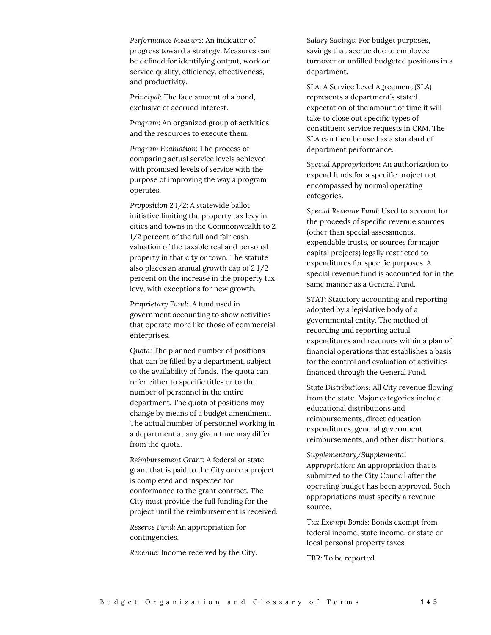*Performance Measure:* An indicator of progress toward a strategy. Measures can be defined for identifying output, work or service quality, efficiency, effectiveness, and productivity.

*Principal:* The face amount of a bond, exclusive of accrued interest.

*Program:* An organized group of activities and the resources to execute them.

*Program Evaluation:* The process of comparing actual service levels achieved with promised levels of service with the purpose of improving the way a program operates.

*Proposition 2 1/2:* A statewide ballot initiative limiting the property tax levy in cities and towns in the Commonwealth to 2 1/2 percent of the full and fair cash valuation of the taxable real and personal property in that city or town. The statute also places an annual growth cap of 2 1/2 percent on the increase in the property tax levy, with exceptions for new growth.

*Proprietary Fund:* A fund used in government accounting to show activities that operate more like those of commercial enterprises.

*Quota:* The planned number of positions that can be filled by a department, subject to the availability of funds. The quota can refer either to specific titles or to the number of personnel in the entire department. The quota of positions may change by means of a budget amendment. The actual number of personnel working in a department at any given time may differ from the quota.

*Reimbursement Grant:* A federal or state grant that is paid to the City once a project is completed and inspected for conformance to the grant contract. The City must provide the full funding for the project until the reimbursement is received.

*Reserve Fund:* An appropriation for contingencies.

*Revenue:* Income received by the City.

*Salary Savings:* For budget purposes, savings that accrue due to employee turnover or unfilled budgeted positions in a department.

*SLA:* A Service Level Agreement (SLA) represents a department's stated expectation of the amount of time it will take to close out specific types of constituent service requests in CRM. The SLA can then be used as a standard of department performance.

*Special Appropriation***:** An authorization to expend funds for a specific project not encompassed by normal operating categories.

*Special Revenue Fund:* Used to account for the proceeds of specific revenue sources (other than special assessments, expendable trusts, or sources for major capital projects) legally restricted to expenditures for specific purposes. A special revenue fund is accounted for in the same manner as a General Fund.

*STAT:* Statutory accounting and reporting adopted by a legislative body of a governmental entity. The method of recording and reporting actual expenditures and revenues within a plan of financial operations that establishes a basis for the control and evaluation of activities financed through the General Fund.

*State Distributions***:** All City revenue flowing from the state. Major categories include educational distributions and reimbursements, direct education expenditures, general government reimbursements, and other distributions.

*Supplementary/Supplemental Appropriation:* An appropriation that is submitted to the City Council after the operating budget has been approved. Such appropriations must specify a revenue source.

*Tax Exempt Bonds:* Bonds exempt from federal income, state income, or state or local personal property taxes.

*TBR:* To be reported.